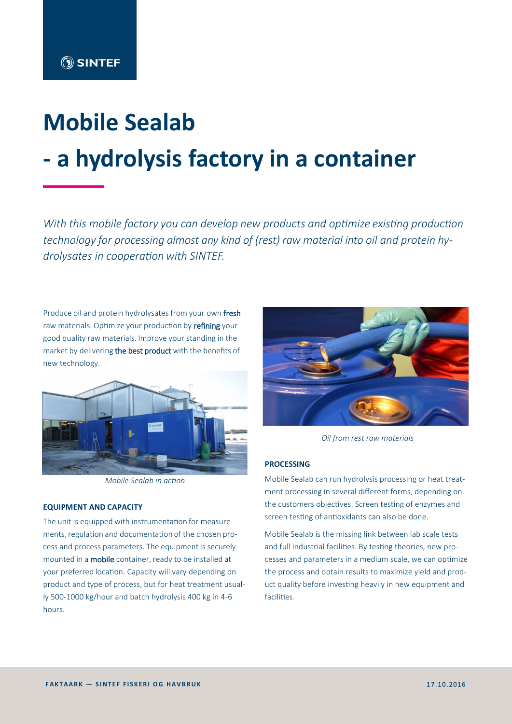# **Mobile Sealab - a hydrolysis factory in a container**

*With this mobile factory you can develop new products and optimize existing production technology for processing almost any kind of (rest) raw material into oil and protein hydrolysates in cooperation with SINTEF.*

Produce oil and protein hydrolysates from your own fresh raw materials. Optimize your production by refining your good quality raw materials. Improve your standing in the market by delivering the best product with the benefits of new technology.



*Mobile Sealab in action*

### **EQUIPMENT AND CAPACITY**

The unit is equipped with instrumentation for measurements, regulation and documentation of the chosen process and process parameters. The equipment is securely mounted in a mobile container, ready to be installed at your preferred location. Capacity will vary depending on product and type of process, but for heat treatment usually 500-1000 kg/hour and batch hydrolysis 400 kg in 4-6 hours.



*Oil from rest raw materials*

## **PROCESSING**

Mobile Sealab can run hydrolysis processing or heat treatment processing in several different forms, depending on the customers objectives. Screen testing of enzymes and screen testing of antioxidants can also be done.

Mobile Sealab is the missing link between lab scale tests and full industrial facilities. By testing theories, new processes and parameters in a medium scale, we can optimize the process and obtain results to maximize yield and product quality before investing heavily in new equipment and facilities.